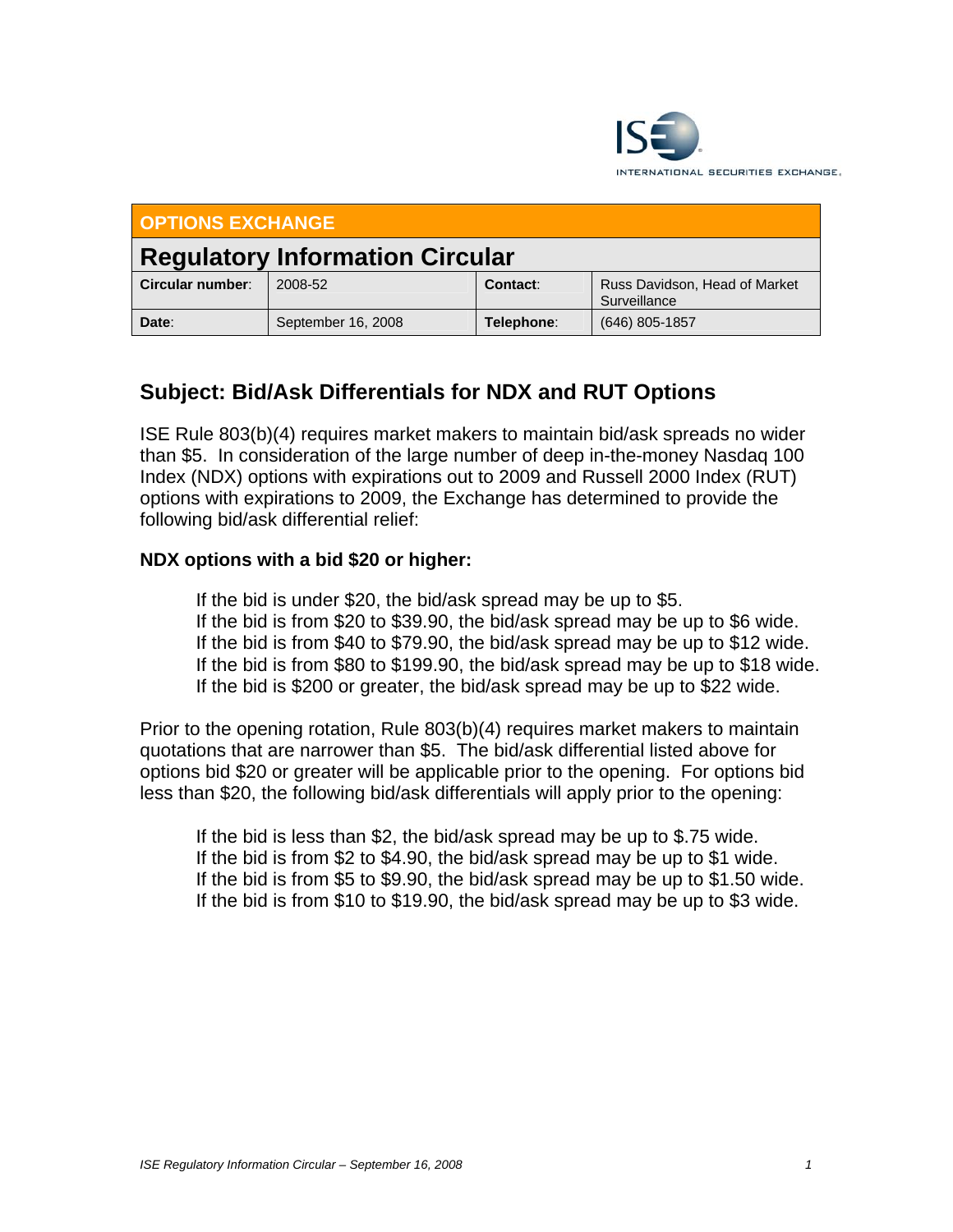

| <b>OPTIONS EXCHANGE</b>                |                    |            |                                               |
|----------------------------------------|--------------------|------------|-----------------------------------------------|
| <b>Regulatory Information Circular</b> |                    |            |                                               |
| Circular number:                       | 2008-52            | Contact:   | Russ Davidson, Head of Market<br>Surveillance |
| Date:                                  | September 16, 2008 | Telephone: | (646) 805-1857                                |

## **Subject: Bid/Ask Differentials for NDX and RUT Options**

ISE Rule 803(b)(4) requires market makers to maintain bid/ask spreads no wider than \$5. In consideration of the large number of deep in-the-money Nasdaq 100 Index (NDX) options with expirations out to 2009 and Russell 2000 Index (RUT) options with expirations to 2009, the Exchange has determined to provide the following bid/ask differential relief:

## **NDX options with a bid \$20 or higher:**

 If the bid is under \$20, the bid/ask spread may be up to \$5. If the bid is from \$20 to \$39.90, the bid/ask spread may be up to \$6 wide. If the bid is from \$40 to \$79.90, the bid/ask spread may be up to \$12 wide. If the bid is from \$80 to \$199.90, the bid/ask spread may be up to \$18 wide. If the bid is \$200 or greater, the bid/ask spread may be up to \$22 wide.

Prior to the opening rotation, Rule 803(b)(4) requires market makers to maintain quotations that are narrower than \$5. The bid/ask differential listed above for options bid \$20 or greater will be applicable prior to the opening. For options bid less than \$20, the following bid/ask differentials will apply prior to the opening:

 If the bid is less than \$2, the bid/ask spread may be up to \$.75 wide. If the bid is from \$2 to \$4.90, the bid/ask spread may be up to \$1 wide. If the bid is from \$5 to \$9.90, the bid/ask spread may be up to \$1.50 wide. If the bid is from \$10 to \$19.90, the bid/ask spread may be up to \$3 wide.